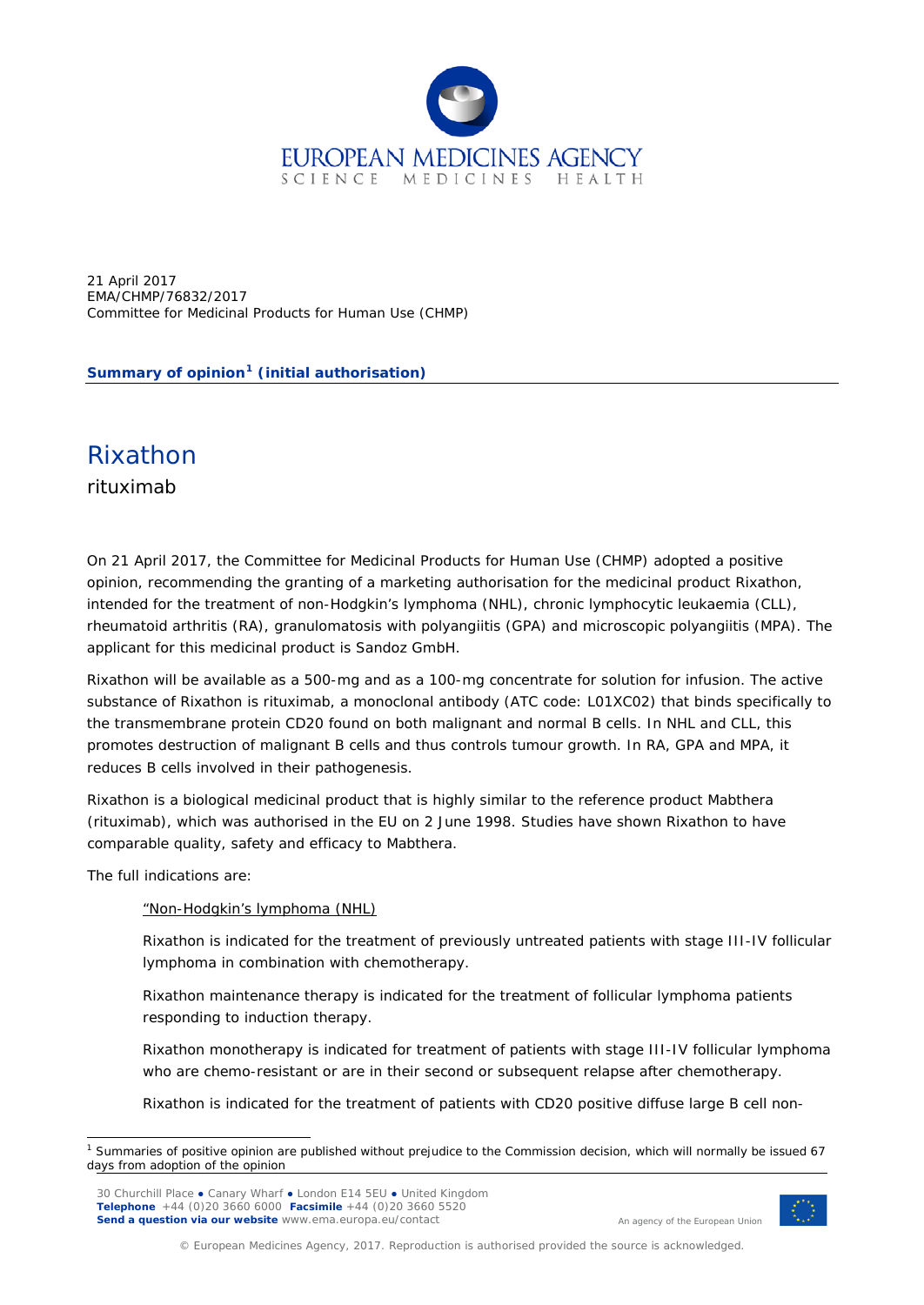

21 April 2017 EMA/CHMP/76832/2017 Committee for Medicinal Products for Human Use (CHMP)

**Summary of opinion[1](#page-0-0) (initial authorisation)**

## Rixathon

rituximab

On 21 April 2017, the Committee for Medicinal Products for Human Use (CHMP) adopted a positive opinion, recommending the granting of a marketing authorisation for the medicinal product Rixathon, intended for the treatment of non-Hodgkin's lymphoma (NHL), chronic lymphocytic leukaemia (CLL), rheumatoid arthritis (RA), granulomatosis with polyangiitis (GPA) and microscopic polyangiitis (MPA). The applicant for this medicinal product is Sandoz GmbH.

Rixathon will be available as a 500-mg and as a 100-mg concentrate for solution for infusion. The active substance of Rixathon is rituximab, a monoclonal antibody (ATC code: L01XC02) that binds specifically to the transmembrane protein CD20 found on both malignant and normal B cells. In NHL and CLL, this promotes destruction of malignant B cells and thus controls tumour growth. In RA, GPA and MPA, it reduces B cells involved in their pathogenesis.

Rixathon is a biological medicinal product that is highly similar to the reference product Mabthera (rituximab), which was authorised in the EU on 2 June 1998. Studies have shown Rixathon to have comparable quality, safety and efficacy to Mabthera.

The full indications are:

"Non-Hodgkin's lymphoma (NHL)

Rixathon is indicated for the treatment of previously untreated patients with stage III-IV follicular lymphoma in combination with chemotherapy.

Rixathon maintenance therapy is indicated for the treatment of follicular lymphoma patients responding to induction therapy.

Rixathon monotherapy is indicated for treatment of patients with stage III-IV follicular lymphoma who are chemo-resistant or are in their second or subsequent relapse after chemotherapy.

Rixathon is indicated for the treatment of patients with CD20 positive diffuse large B cell non-



An agency of the European Union

© European Medicines Agency, 2017. Reproduction is authorised provided the source is acknowledged.

<span id="page-0-0"></span> <sup>1</sup> Summaries of positive opinion are published without prejudice to the Commission decision, which will normally be issued 67 days from adoption of the opinion

<sup>30</sup> Churchill Place **●** Canary Wharf **●** London E14 5EU **●** United Kingdom **Telephone** +44 (0)20 3660 6000 **Facsimile** +44 (0)20 3660 5520 **Send a question via our website** www.ema.europa.eu/contact